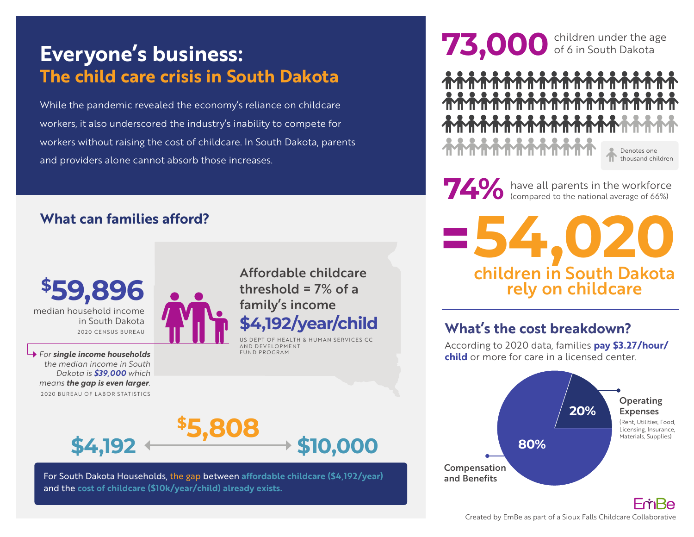## **Everyone's business: The child care crisis in South Dakota**

While the pandemic revealed the economy's reliance on childcare workers, it also underscored the industry's inability to compete for workers without raising the cost of childcare. In South Dakota, parents and providers alone cannot absorb those increases.

#### **What can families afford?**

# **\$59,896**

median household income in South Dakota 2020 CENSUS BUREAU

*For single income households the median income in South Dakota is \$39,000 which means the gap is even larger.* 2020 BUREAU OF LABOR STATISTICS



Affordable childcare threshold = 7% of a family's income **\$4,192/year/child**

US DEPT OF HEALTH & HUMAN SERVICES CC AND DEVELOPMENT FUND PROGRAM



For South Dakota Households, the gap between **affordable childcare (\$4,192/year)** and the **cost of childcare (\$10k/year/child) already exists.**

**73,000** children under the age of 6 in South Dakota



**74%** have all parents in the workforce (compared to the national average of 66%)

thousand children

**54,020** children in South Dakota rely on childcare

#### **What's the cost breakdown?**

According to 2020 data, families **pay \$3.27/hour/ child** or more for care in a licensed center.



Created by EmBe as part of a Sioux Falls Childcare Collaborative